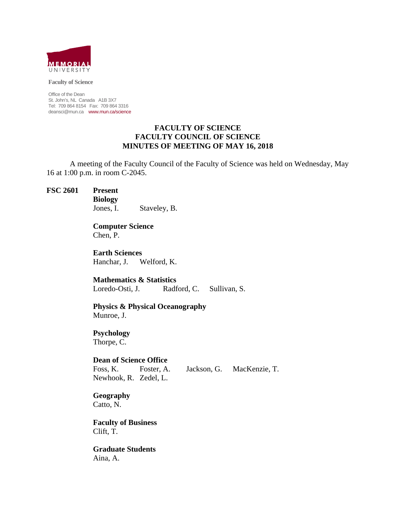

**Faculty of Science** 

Office of the Dean St. John's, NL Canada A1B 3X7 Tel: 709 864 8154 Fax: 709 864 3316 deansci@mun.ca www.mun.ca/science

### **FACULTY OF SCIENCE FACULTY COUNCIL OF SCIENCE MINUTES OF MEETING OF MAY 16, 2018**

 A meeting of the Faculty Council of the Faculty of Science was held on Wednesday, May 16 at 1:00 p.m. in room C-2045.

**FSC 2601 Present** 

**Biology** 

Jones, I. Staveley, B.

 **Computer Science** Chen, P.

 **Earth Sciences**  Hanchar, J. Welford, K.

 **Mathematics & Statistics**  Loredo-Osti, J. Radford, C. Sullivan, S.

 **Physics & Physical Oceanography** Munroe, J.

 **Psychology**  Thorpe, C.

**Dean of Science Office**

 Foss, K. Foster, A. Jackson, G. MacKenzie, T. Newhook, R. Zedel, L.

**Geography**  Catto, N.

 **Faculty of Business**  Clift, T.

 **Graduate Students**  Aina, A.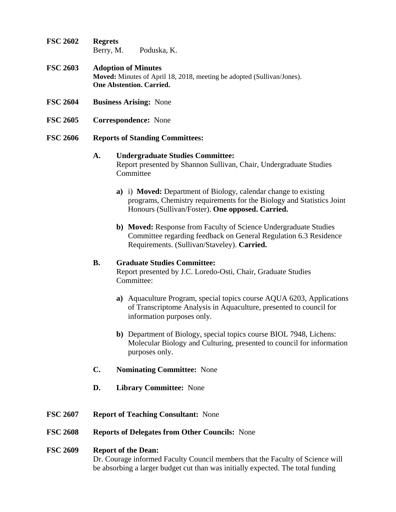- **FSC 2602 Regrets**  Berry, M. Poduska, K.
- **FSC 2603 Adoption of Minutes Moved:** Minutes of April 18, 2018, meeting be adopted (Sullivan/Jones). **One Abstention. Carried.**
- **FSC 2604 Business Arising:** None
- **FSC 2605 Correspondence:** None
- **FSC 2606 Reports of Standing Committees:**

# **A. Undergraduate Studies Committee:**  Report presented by Shannon Sullivan, Chair, Undergraduate Studies **Committee**

- **a)** i) **Moved:** Department of Biology, calendar change to existing programs, Chemistry requirements for the Biology and Statistics Joint Honours (Sullivan/Foster). **One opposed. Carried.**
- **b) Moved:** Response from Faculty of Science Undergraduate Studies Committee regarding feedback on General Regulation 6.3 Residence Requirements. (Sullivan/Staveley). **Carried.**

### **B. Graduate Studies Committee:**

Report presented by J.C. Loredo-Osti, Chair, Graduate Studies Committee:

- **a)** Aquaculture Program, special topics course AQUA 6203, Applications of Transcriptome Analysis in Aquaculture, presented to council for information purposes only.
- **b)** Department of Biology, special topics course BIOL 7948, Lichens: Molecular Biology and Culturing, presented to council for information purposes only.
- **C. Nominating Committee:** None
- **D. Library Committee:** None
- **FSC 2607 Report of Teaching Consultant:** None
- **FSC 2608 Reports of Delegates from Other Councils:** None

### **FSC 2609 Report of the Dean:**

 Dr. Courage informed Faculty Council members that the Faculty of Science will be absorbing a larger budget cut than was initially expected. The total funding